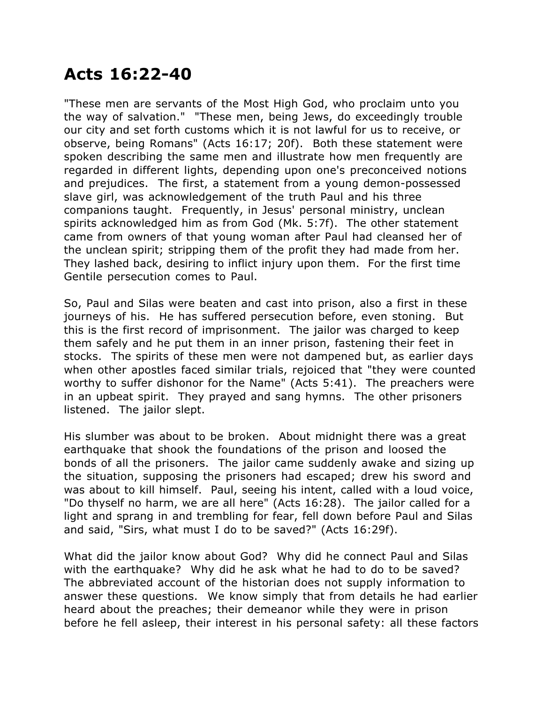## **Acts 16:22-40**

"These men are servants of the Most High God, who proclaim unto you the way of salvation." "These men, being Jews, do exceedingly trouble our city and set forth customs which it is not lawful for us to receive, or observe, being Romans" (Acts 16:17; 20f). Both these statement were spoken describing the same men and illustrate how men frequently are regarded in different lights, depending upon one's preconceived notions and prejudices. The first, a statement from a young demon-possessed slave girl, was acknowledgement of the truth Paul and his three companions taught. Frequently, in Jesus' personal ministry, unclean spirits acknowledged him as from God (Mk. 5:7f). The other statement came from owners of that young woman after Paul had cleansed her of the unclean spirit; stripping them of the profit they had made from her. They lashed back, desiring to inflict injury upon them. For the first time Gentile persecution comes to Paul.

So, Paul and Silas were beaten and cast into prison, also a first in these journeys of his. He has suffered persecution before, even stoning. But this is the first record of imprisonment. The jailor was charged to keep them safely and he put them in an inner prison, fastening their feet in stocks. The spirits of these men were not dampened but, as earlier days when other apostles faced similar trials, rejoiced that "they were counted worthy to suffer dishonor for the Name" (Acts 5:41). The preachers were in an upbeat spirit. They prayed and sang hymns. The other prisoners listened. The jailor slept.

His slumber was about to be broken. About midnight there was a great earthquake that shook the foundations of the prison and loosed the bonds of all the prisoners. The jailor came suddenly awake and sizing up the situation, supposing the prisoners had escaped; drew his sword and was about to kill himself. Paul, seeing his intent, called with a loud voice, "Do thyself no harm, we are all here" (Acts 16:28). The jailor called for a light and sprang in and trembling for fear, fell down before Paul and Silas and said, "Sirs, what must I do to be saved?" (Acts 16:29f).

What did the jailor know about God? Why did he connect Paul and Silas with the earthquake? Why did he ask what he had to do to be saved? The abbreviated account of the historian does not supply information to answer these questions. We know simply that from details he had earlier heard about the preaches; their demeanor while they were in prison before he fell asleep, their interest in his personal safety: all these factors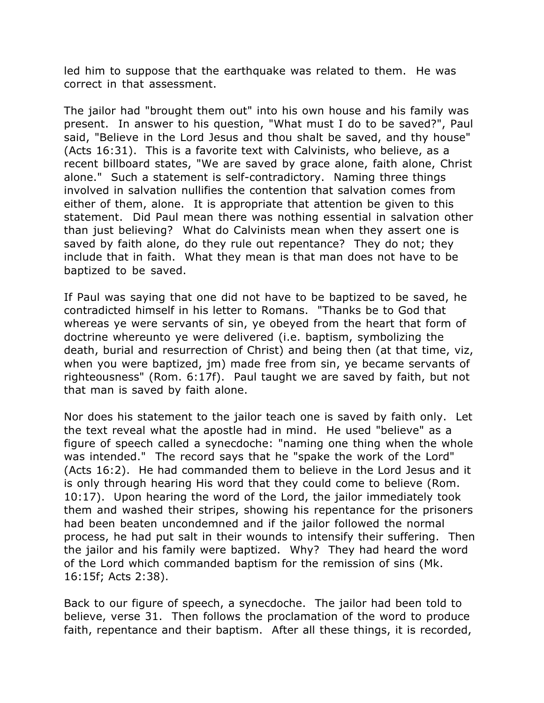led him to suppose that the earthquake was related to them. He was correct in that assessment.

The jailor had "brought them out" into his own house and his family was present. In answer to his question, "What must I do to be saved?", Paul said, "Believe in the Lord Jesus and thou shalt be saved, and thy house" (Acts 16:31). This is a favorite text with Calvinists, who believe, as a recent billboard states, "We are saved by grace alone, faith alone, Christ alone." Such a statement is self-contradictory. Naming three things involved in salvation nullifies the contention that salvation comes from either of them, alone. It is appropriate that attention be given to this statement. Did Paul mean there was nothing essential in salvation other than just believing? What do Calvinists mean when they assert one is saved by faith alone, do they rule out repentance? They do not; they include that in faith. What they mean is that man does not have to be baptized to be saved.

If Paul was saying that one did not have to be baptized to be saved, he contradicted himself in his letter to Romans. "Thanks be to God that whereas ye were servants of sin, ye obeyed from the heart that form of doctrine whereunto ye were delivered (i.e. baptism, symbolizing the death, burial and resurrection of Christ) and being then (at that time, viz, when you were baptized, jm) made free from sin, ye became servants of righteousness" (Rom. 6:17f). Paul taught we are saved by faith, but not that man is saved by faith alone.

Nor does his statement to the jailor teach one is saved by faith only. Let the text reveal what the apostle had in mind. He used "believe" as a figure of speech called a synecdoche: "naming one thing when the whole was intended." The record says that he "spake the work of the Lord" (Acts 16:2). He had commanded them to believe in the Lord Jesus and it is only through hearing His word that they could come to believe (Rom. 10:17). Upon hearing the word of the Lord, the jailor immediately took them and washed their stripes, showing his repentance for the prisoners had been beaten uncondemned and if the jailor followed the normal process, he had put salt in their wounds to intensify their suffering. Then the jailor and his family were baptized. Why? They had heard the word of the Lord which commanded baptism for the remission of sins (Mk. 16:15f; Acts 2:38).

Back to our figure of speech, a synecdoche. The jailor had been told to believe, verse 31. Then follows the proclamation of the word to produce faith, repentance and their baptism. After all these things, it is recorded,